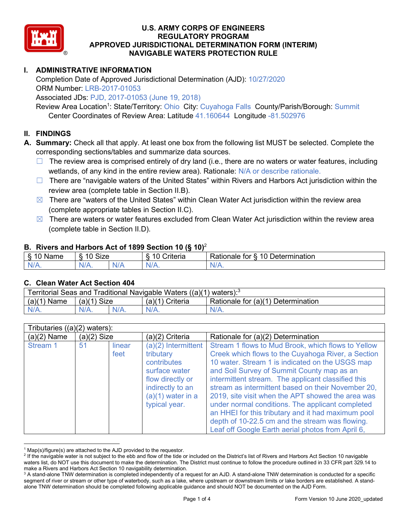

# **I. ADMINISTRATIVE INFORMATION**

Completion Date of Approved Jurisdictional Determination (AJD): 10/27/2020 ORM Number: LRB-2017-01053

Associated JDs: PJD, 2017-01053 (June 19, 2018)

Review Area Location<sup>1</sup>: State/Territory: Ohio City: Cuyahoga Falls County/Parish/Borough: Summit Center Coordinates of Review Area: Latitude 41.160644 Longitude -81.502976

### **II. FINDINGS**

**A. Summary:** Check all that apply. At least one box from the following list MUST be selected. Complete the corresponding sections/tables and summarize data sources.

- $\Box$  The review area is comprised entirely of dry land (i.e., there are no waters or water features, including wetlands, of any kind in the entire review area). Rationale: N/A or describe rationale.
- $\Box$  There are "navigable waters of the United States" within Rivers and Harbors Act jurisdiction within the review area (complete table in Section II.B).
- $\boxtimes$  There are "waters of the United States" within Clean Water Act jurisdiction within the review area (complete appropriate tables in Section II.C).
- $\boxtimes$  There are waters or water features excluded from Clean Water Act jurisdiction within the review area (complete table in Section II.D).

#### **B. Rivers and Harbors Act of 1899 Section 10 (§ 10)**<sup>2</sup>

| w                         |                      |        |                                                             |                                                 |  |  |  |  |
|---------------------------|----------------------|--------|-------------------------------------------------------------|-------------------------------------------------|--|--|--|--|
| $\sim$<br>$-$<br>ame<br>◡ | 10<br>$\sim$<br>SIZE |        | .<br>10<br>$^{\circ}$ rıt $\cap$ rı $\cap$<br><b>AILCIT</b> | Determination<br>$\sqrt{ }$<br>Rationale<br>tor |  |  |  |  |
| $N/A$ .                   | ו גו<br>97 / TV .    | w<br>. | $N/A$ .                                                     | $N_{\ell}$<br>$\mathbf{v}$                      |  |  |  |  |

#### **C. Clean Water Act Section 404**

| Territorial Seas and Traditional Navigable Waters $((a)(1)$ waters): <sup>3</sup> |                |  |                                                       |         |  |  |  |
|-----------------------------------------------------------------------------------|----------------|--|-------------------------------------------------------|---------|--|--|--|
| (a)(1)<br>Name                                                                    | Size<br>(a)(1) |  | Rationale for (a)(1) Determination<br>(a)(1) Criteria |         |  |  |  |
|                                                                                   | $N/A$ .        |  | $N/A$ .                                               | $N/A$ . |  |  |  |

| Tributaries $((a)(2)$ waters): |               |                |                                                                                                                                                  |                                                                                                                                                                                                                                                                                                                                                                                                                                                                                                                                                                                              |  |  |  |  |
|--------------------------------|---------------|----------------|--------------------------------------------------------------------------------------------------------------------------------------------------|----------------------------------------------------------------------------------------------------------------------------------------------------------------------------------------------------------------------------------------------------------------------------------------------------------------------------------------------------------------------------------------------------------------------------------------------------------------------------------------------------------------------------------------------------------------------------------------------|--|--|--|--|
| $(a)(2)$ Name                  | $(a)(2)$ Size |                | (a)(2) Criteria                                                                                                                                  | Rationale for (a)(2) Determination                                                                                                                                                                                                                                                                                                                                                                                                                                                                                                                                                           |  |  |  |  |
| Stream 1                       | 51            | linear<br>feet | (a)(2) Intermittent<br>tributary<br>contributes<br>surface water<br>flow directly or<br>indirectly to an<br>$(a)(1)$ water in a<br>typical year. | Stream 1 flows to Mud Brook, which flows to Yellow<br>Creek which flows to the Cuyahoga River, a Section<br>10 water. Stream 1 is indicated on the USGS map<br>and Soil Survey of Summit County map as an<br>intermittent stream. The applicant classified this<br>stream as intermittent based on their November 20,<br>2019, site visit when the APT showed the area was<br>under normal conditions. The applicant completed<br>an HHEI for this tributary and it had maximum pool<br>depth of 10-22.5 cm and the stream was flowing.<br>Leaf off Google Earth aerial photos from April 6, |  |  |  |  |

 $1$  Map(s)/figure(s) are attached to the AJD provided to the requestor.

<sup>&</sup>lt;sup>2</sup> If the navigable water is not subject to the ebb and flow of the tide or included on the District's list of Rivers and Harbors Act Section 10 navigable waters list, do NOT use this document to make the determination. The District must continue to follow the procedure outlined in 33 CFR part 329.14 to make a Rivers and Harbors Act Section 10 navigability determination.

<sup>&</sup>lt;sup>3</sup> A stand-alone TNW determination is completed independently of a request for an AJD. A stand-alone TNW determination is conducted for a specific segment of river or stream or other type of waterbody, such as a lake, where upstream or downstream limits or lake borders are established. A standalone TNW determination should be completed following applicable guidance and should NOT be documented on the AJD Form.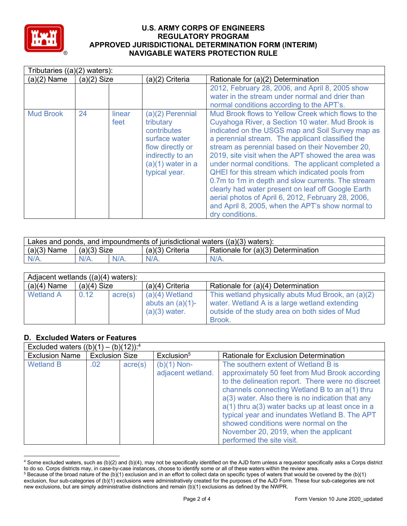

|                  | Tributaries $((a)(2)$ waters): |                |                                                                                                                                               |                                                                                                                                                                                                                                                                                                                                                                                                                                                                                                                                                                                                                                                                                |  |  |  |  |  |
|------------------|--------------------------------|----------------|-----------------------------------------------------------------------------------------------------------------------------------------------|--------------------------------------------------------------------------------------------------------------------------------------------------------------------------------------------------------------------------------------------------------------------------------------------------------------------------------------------------------------------------------------------------------------------------------------------------------------------------------------------------------------------------------------------------------------------------------------------------------------------------------------------------------------------------------|--|--|--|--|--|
| $(a)(2)$ Name    | $(a)(2)$ Size                  |                | (a)(2) Criteria                                                                                                                               | Rationale for (a)(2) Determination                                                                                                                                                                                                                                                                                                                                                                                                                                                                                                                                                                                                                                             |  |  |  |  |  |
|                  |                                |                |                                                                                                                                               | 2012, February 28, 2006, and April 8, 2005 show<br>water in the stream under normal and drier than<br>normal conditions according to the APT's.                                                                                                                                                                                                                                                                                                                                                                                                                                                                                                                                |  |  |  |  |  |
| <b>Mud Brook</b> | 24                             | linear<br>feet | (a)(2) Perennial<br>tributary<br>contributes<br>surface water<br>flow directly or<br>indirectly to an<br>$(a)(1)$ water in a<br>typical year. | Mud Brook flows to Yellow Creek which flows to the<br>Cuyahoga River, a Section 10 water. Mud Brook is<br>indicated on the USGS map and Soil Survey map as<br>a perennial stream. The applicant classified the<br>stream as perennial based on their November 20,<br>2019, site visit when the APT showed the area was<br>under normal conditions. The applicant completed a<br><b>QHEI</b> for this stream which indicated pools from<br>0.7m to 1m in depth and slow currents. The stream<br>clearly had water present on leaf off Google Earth<br>aerial photos of April 6, 2012, February 28, 2006,<br>and April 8, 2005, when the APT's show normal to<br>dry conditions. |  |  |  |  |  |

| Lakes and ponds, and impoundments of jurisdictional waters $((a)(3)$ waters): |               |         |                   |                                    |  |  |  |
|-------------------------------------------------------------------------------|---------------|---------|-------------------|------------------------------------|--|--|--|
| $(a)(3)$ Name                                                                 | $(a)(3)$ Size |         | $(a)(3)$ Criteria | Rationale for (a)(3) Determination |  |  |  |
| $N/A$ .                                                                       | $N/A$ .       | $N/A$ . | $N/A$ .           | $N/A$ .                            |  |  |  |

| Adjacent wetlands $((a)(4)$ waters): |               |         |                                                            |                                                                                                                                                                 |  |  |  |  |
|--------------------------------------|---------------|---------|------------------------------------------------------------|-----------------------------------------------------------------------------------------------------------------------------------------------------------------|--|--|--|--|
| $(a)(4)$ Name                        | $(a)(4)$ Size |         | $(a)(4)$ Criteria                                          | Rationale for (a)(4) Determination                                                                                                                              |  |  |  |  |
| <b>Wetland A</b>                     | 0.12          | acre(s) | $(a)(4)$ Wetland<br>abuts an $(a)(1)$ -<br>$(a)(3)$ water. | This wetland physically abuts Mud Brook, an (a)(2)<br>water. Wetland A is a large wetland extending<br>outside of the study area on both sides of Mud<br>Brook. |  |  |  |  |

## **D. Excluded Waters or Features**

| Excluded waters $((b)(1) - (b)(12))$ : <sup>4</sup> |                       |                  |                                    |                                                                                                                                                                                                                                                                                                                                                                                                                                                                        |  |  |  |  |  |
|-----------------------------------------------------|-----------------------|------------------|------------------------------------|------------------------------------------------------------------------------------------------------------------------------------------------------------------------------------------------------------------------------------------------------------------------------------------------------------------------------------------------------------------------------------------------------------------------------------------------------------------------|--|--|--|--|--|
| <b>Exclusion Name</b>                               | <b>Exclusion Size</b> |                  | Exclusion <sup>5</sup>             | <b>Rationale for Exclusion Determination</b>                                                                                                                                                                                                                                                                                                                                                                                                                           |  |  |  |  |  |
| <b>Wetland B</b>                                    | .02 <sub>0</sub>      | $\text{acre}(s)$ | $(b)(1)$ Non-<br>adjacent wetland. | The southern extent of Wetland B is<br>approximately 50 feet from Mud Brook according<br>to the delineation report. There were no discreet<br>channels connecting Wetland B to an a(1) thru<br>a(3) water. Also there is no indication that any<br>$a(1)$ thru $a(3)$ water backs up at least once in a<br>typical year and inundates Wetland B. The APT<br>showed conditions were normal on the<br>November 20, 2019, when the applicant<br>performed the site visit. |  |  |  |  |  |

<sup>4</sup> Some excluded waters, such as (b)(2) and (b)(4), may not be specifically identified on the AJD form unless a requestor specifically asks a Corps district to do so. Corps districts may, in case-by-case instances, choose to identify some or all of these waters within the review area.

 $5$  Because of the broad nature of the (b)(1) exclusion and in an effort to collect data on specific types of waters that would be covered by the (b)(1) exclusion, four sub-categories of (b)(1) exclusions were administratively created for the purposes of the AJD Form. These four sub-categories are not new exclusions, but are simply administrative distinctions and remain (b)(1) exclusions as defined by the NWPR.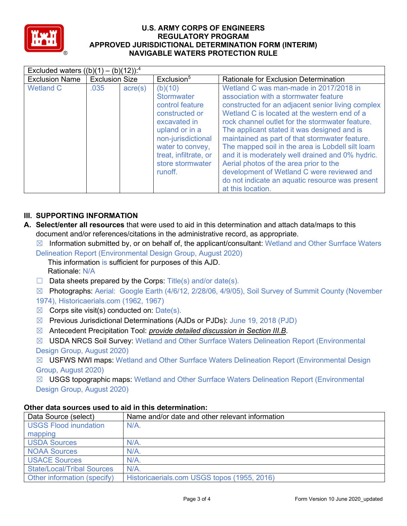

|                                                | Excluded waters $((b)(1) - (b)(12))$ : <sup>4</sup> |                        |                                                                                                                                                                                                       |                                                                                                                                                                                                                                                                                                                                                                                                                                                                                                                                                                                                                  |  |  |  |  |  |  |
|------------------------------------------------|-----------------------------------------------------|------------------------|-------------------------------------------------------------------------------------------------------------------------------------------------------------------------------------------------------|------------------------------------------------------------------------------------------------------------------------------------------------------------------------------------------------------------------------------------------------------------------------------------------------------------------------------------------------------------------------------------------------------------------------------------------------------------------------------------------------------------------------------------------------------------------------------------------------------------------|--|--|--|--|--|--|
| <b>Exclusion Size</b><br><b>Exclusion Name</b> |                                                     | Exclusion <sup>5</sup> | Rationale for Exclusion Determination                                                                                                                                                                 |                                                                                                                                                                                                                                                                                                                                                                                                                                                                                                                                                                                                                  |  |  |  |  |  |  |
| <b>Wetland C</b>                               | .035                                                | acre(s)                | (b)(10)<br><b>Stormwater</b><br>control feature<br>constructed or<br>excavated in<br>upland or in a<br>non-jurisdictional<br>water to convey,<br>treat, infiltrate, or<br>store stormwater<br>runoff. | Wetland C was man-made in 2017/2018 in<br>association with a stormwater feature<br>constructed for an adjacent senior living complex<br>Wetland C is located at the western end of a<br>rock channel outlet for the stormwater feature.<br>The applicant stated it was designed and is<br>maintained as part of that stormwater feature.<br>The mapped soil in the area is Lobdell silt loam<br>and it is moderately well drained and 0% hydric.<br>Aerial photos of the area prior to the<br>development of Wetland C were reviewed and<br>do not indicate an aquatic resource was present<br>at this location. |  |  |  |  |  |  |

# **III. SUPPORTING INFORMATION**

- **A. Select/enter all resources** that were used to aid in this determination and attach data/maps to this document and/or references/citations in the administrative record, as appropriate.
	- $\boxtimes$  Information submitted by, or on behalf of, the applicant/consultant: Wetland and Other Surrface Waters Delineation Report (Environmental Design Group, August 2020)

This information is sufficient for purposes of this AJD. Rationale: N/A

- $\Box$  Data sheets prepared by the Corps: Title(s) and/or date(s).
- ☒ Photographs: Aerial: Google Earth (4/6/12, 2/28/06, 4/9/05), Soil Survey of Summit County (November 1974), Historicaerials.com (1962, 1967)
- $\boxtimes$  Corps site visit(s) conducted on: Date(s).
- $\boxtimes$  Previous Jurisdictional Determinations (AJDs or PJDs): June 19, 2018 (PJD)
- ☒ Antecedent Precipitation Tool: *provide detailed discussion in Section III.B*.
- ☒ USDA NRCS Soil Survey: Wetland and Other Surrface Waters Delineation Report (Environmental Design Group, August 2020)

☒ USFWS NWI maps: Wetland and Other Surrface Waters Delineation Report (Environmental Design Group, August 2020)

☒ USGS topographic maps: Wetland and Other Surrface Waters Delineation Report (Environmental Design Group, August 2020)

| Data Source (select)              | Name and/or date and other relevant information |
|-----------------------------------|-------------------------------------------------|
| <b>USGS Flood inundation</b>      | $N/A$ .                                         |
| mapping                           |                                                 |
| <b>USDA Sources</b>               | $N/A$ .                                         |
| <b>NOAA Sources</b>               | $N/A$ .                                         |
| <b>USACE Sources</b>              | $N/A$ .                                         |
| <b>State/Local/Tribal Sources</b> | N/A                                             |
| Other information (specify)       | Historicaerials.com USGS topos (1955, 2016)     |

# **Other data sources used to aid in this determination:**